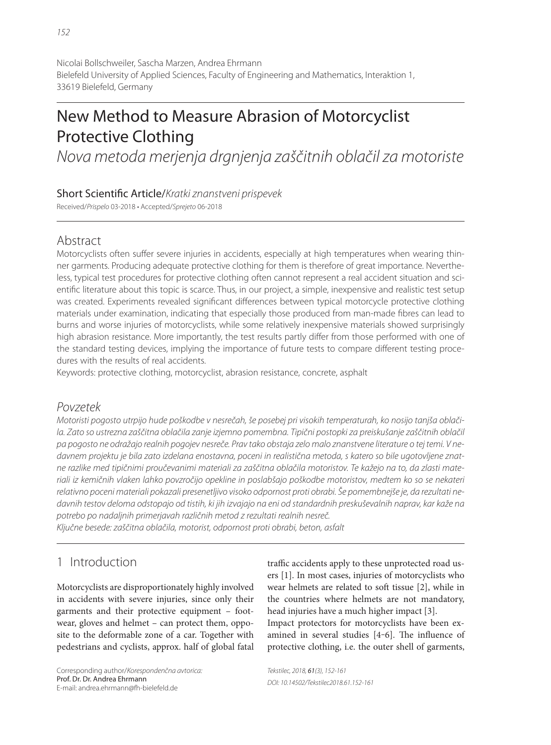# New Method to Measure Abrasion of Motorcyclist Protective Clothing

Nova metoda merjenja drgnjenja zaščitnih oblačil za motoriste

#### Short Scientific Article/Kratki znanstveni prispevek

Received/Prispelo 03-2018 • Accepted/Sprejeto 06-2018

## Abstract

Motorcyclists often suffer severe injuries in accidents, especially at high temperatures when wearing thinner garments. Producing adequate protective clothing for them is therefore of great importance. Nevertheless, typical test procedures for protective clothing often cannot represent a real accident situation and scientific literature about this topic is scarce. Thus, in our project, a simple, inexpensive and realistic test setup was created. Experiments revealed significant differences between typical motorcycle protective clothing materials under examination, indicating that especially those produced from man-made fibres can lead to burns and worse injuries of motorcyclists, while some relatively inexpensive materials showed surprisingly high abrasion resistance. More importantly, the test results partly differ from those performed with one of the standard testing devices, implying the importance of future tests to compare different testing procedures with the results of real accidents.

Keywords: protective clothing, motorcyclist, abrasion resistance, concrete, asphalt

#### Povzetek

Motoristi pogosto utrpijo hude poškodbe v nesrečah, še posebej pri visokih temperaturah, ko nosijo tanjša oblačila. Zato so ustrezna zaščitna oblačila zanje izjemno pomembna. Tipični postopki za preiskušanje zaščitnih oblačil pa pogosto ne odražajo realnih pogojev nesreče. Prav tako obstaja zelo malo znanstvene literature o tej temi. V nedavnem projektu je bila zato izdelana enostavna, poceni in realistična metoda, s katero so bile ugotovljene znatne razlike med tipičnimi proučevanimi materiali za zaščitna oblačila motoristov. Te kažejo na to, da zlasti materiali iz kemičnih vlaken lahko povzročijo opekline in poslabšajo poškodbe motoristov, medtem ko so se nekateri relativno poceni materiali pokazali presenetljivo visoko odpornost proti obrabi. Še pomembnejše je, da rezultati nedavnih testov deloma odstopajo od tistih, ki jih izvajajo na eni od standardnih preskuševalnih naprav, kar kaže na potrebo po nadaljnih primerjavah različnih metod z rezultati realnih nesreč.

Ključne besede: zaščitna oblačila, motorist, odpornost proti obrabi, beton, asfalt

# 1 Introduction

Motorcyclists are disproportionately highly involved in accidents with severe injuries, since only their garments and their protective equipment – footwear, gloves and helmet – can protect them, opposite to the deformable zone of a car. Together with pedestrians and cyclists, approx. half of global fatal traffic accidents apply to these unprotected road users [1]. In most cases, injuries of motorcyclists who wear helmets are related to soft tissue [2], while in the countries where helmets are not mandatory, head injuries have a much higher impact [3].

Impact protectors for motorcyclists have been examined in several studies [4-6]. The influence of protective clothing, i.e. the outer shell of garments,

Corresponding author/Korespondenčna avtorica: Prof. Dr. Dr. Andrea Ehrmann E-mail: andrea.ehrmann@fh-bielefeld.de

Tekstilec, 2018, 61(3), 152-161 DOI: 10.14502/Tekstilec2018.61.152-161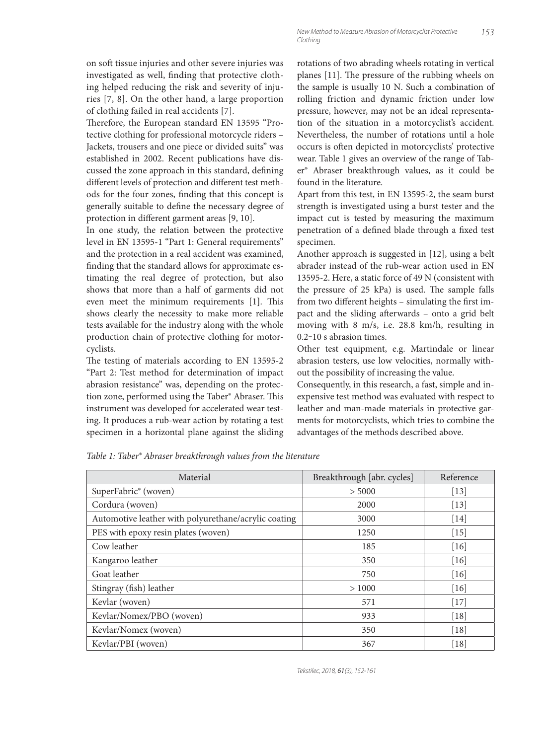on soft tissue injuries and other severe injuries was investigated as well, finding that protective clothing helped reducing the risk and severity of injuries [7, 8]. On the other hand, a large proportion of clothing failed in real accidents [7].

Therefore, the European standard EN 13595 "Protective clothing for professional motorcycle riders – Jackets, trousers and one piece or divided suits" was established in 2002. Recent publications have discussed the zone approach in this standard, defining different levels of protection and different test methods for the four zones, finding that this concept is generally suitable to define the necessary degree of protection in different garment areas [9, 10].

In one study, the relation between the protective level in EN 13595-1 "Part 1: General requirements" and the protection in a real accident was examined, finding that the standard allows for approximate estimating the real degree of protection, but also shows that more than a half of garments did not even meet the minimum requirements [1]. This shows clearly the necessity to make more reliable tests available for the industry along with the whole production chain of protective clothing for motorcyclists.

The testing of materials according to EN 13595-2 "Part 2: Test method for determination of impact abrasion resistance" was, depending on the protection zone, performed using the Taber® Abraser. This instrument was developed for accelerated wear testing. It produces a rub-wear action by rotating a test specimen in a horizontal plane against the sliding rotations of two abrading wheels rotating in vertical planes [11]. The pressure of the rubbing wheels on the sample is usually 10 N. Such a combination of rolling friction and dynamic friction under low pressure, however, may not be an ideal representation of the situation in a motorcyclist's accident. Nevertheless, the number of rotations until a hole occurs is often depicted in motorcyclists' protective wear. Table 1 gives an overview of the range of Taber® Abraser breakthrough values, as it could be found in the literature.

Apart from this test, in EN 13595-2, the seam burst strength is investigated using a burst tester and the impact cut is tested by measuring the maximum penetration of a defined blade through a fixed test specimen.

Another approach is suggested in [12], using a belt abrader instead of the rub-wear action used in EN 13595-2. Here, a static force of 49 N (consistent with the pressure of  $25$  kPa) is used. The sample falls from two different heights - simulating the first impact and the sliding afterwards - onto a grid belt moving with 8 m/s, i.e. 28.8 km/h, resulting in 0.2‒10 s abrasion times.

Other test equipment, e.g. Martindale or linear abrasion testers, use low velocities, normally without the possibility of increasing the value.

Consequently, in this research, a fast, simple and inexpensive test method was evaluated with respect to leather and man-made materials in protective garments for motorcyclists, which tries to combine the advantages of the methods described above.

| Material                                             | Breakthrough [abr. cycles] | Reference |
|------------------------------------------------------|----------------------------|-----------|
| SuperFabric <sup>®</sup> (woven)                     | > 5000                     | $[13]$    |
| Cordura (woven)                                      | 2000                       | $[13]$    |
| Automotive leather with polyurethane/acrylic coating | 3000                       | $[14]$    |
| PES with epoxy resin plates (woven)                  | 1250                       | $[15]$    |
| Cow leather                                          | 185                        | $[16]$    |
| Kangaroo leather                                     | 350                        | $[16]$    |
| Goat leather                                         | 750                        | $[16]$    |
| Stingray (fish) leather                              | >1000                      | [16]      |
| Kevlar (woven)                                       | 571                        | $[17]$    |
| Kevlar/Nomex/PBO (woven)                             | 933                        | $[18]$    |
| Kevlar/Nomex (woven)                                 | 350                        | $[18]$    |
| Kevlar/PBI (woven)                                   | 367                        | $[18]$    |

*Table 1: Taber® Abraser breakthrough values from the literature*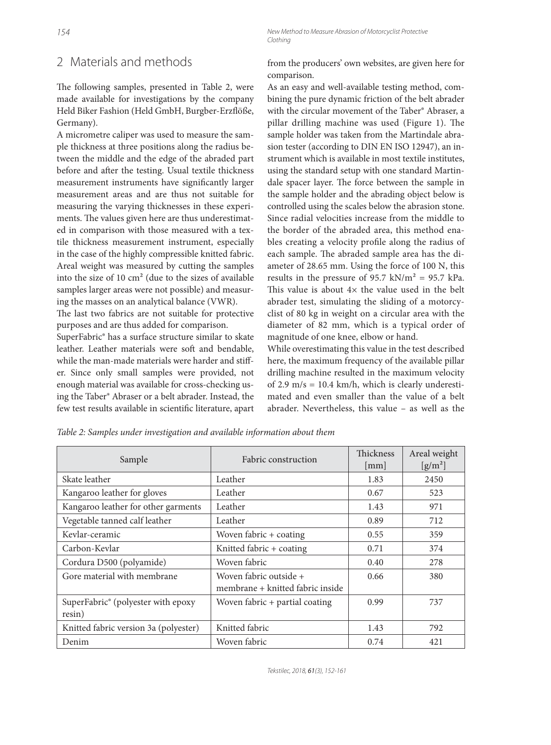## 2 Materials and methods

The following samples, presented in Table 2, were made available for investigations by the company Held Biker Fashion (Held GmbH, Burgber-Erzflöße, Germany).

A micrometre caliper was used to measure the sample thickness at three positions along the radius between the middle and the edge of the abraded part before and after the testing. Usual textile thickness measurement instruments have significantly larger measurement areas and are thus not suitable for measuring the varying thicknesses in these experiments. The values given here are thus underestimated in comparison with those measured with a textile thickness measurement instrument, especially in the case of the highly compressible knitted fabric. Areal weight was measured by cutting the samples into the size of 10 cm² (due to the sizes of available samples larger areas were not possible) and measuring the masses on an analytical balance (VWR).

The last two fabrics are not suitable for protective purposes and are thus added for comparison.

SuperFabric® has a surface structure similar to skate leather. Leather materials were soft and bendable, while the man-made materials were harder and stiffer. Since only small samples were provided, not enough material was available for cross-checking using the Taber® Abraser or a belt abrader. Instead, the few test results available in scientific literature, apart

154 New Method to Measure Abrasion of Motorcyclist Protective Clothing

> from the producers' own websites, are given here for comparison.

As an easy and well-available testing method, combining the pure dynamic friction of the belt abrader with the circular movement of the Taber® Abraser, a pillar drilling machine was used (Figure 1). The sample holder was taken from the Martindale abrasion tester (according to DIN EN ISO 12947), an instrument which is available in most textile institutes, using the standard setup with one standard Martindale spacer layer. The force between the sample in the sample holder and the abrading object below is controlled using the scales below the abrasion stone. Since radial velocities increase from the middle to the border of the abraded area, this method enables creating a velocity profile along the radius of each sample. The abraded sample area has the diameter of 28.65 mm. Using the force of 100 N, this results in the pressure of 95.7 kN/ $m^2$  = 95.7 kPa. This value is about  $4 \times$  the value used in the belt abrader test, simulating the sliding of a motorcyclist of 80 kg in weight on a circular area with the diameter of 82 mm, which is a typical order of magnitude of one knee, elbow or hand.

While overestimating this value in the test described here, the maximum frequency of the available pillar drilling machine resulted in the maximum velocity of 2.9 m/s = 10.4 km/h, which is clearly underestimated and even smaller than the value of a belt abrader. Nevertheless, this value – as well as the

| Sample                                       | Fabric construction                                        | <b>Thickness</b><br>$\lceil$ mm $\rceil$ | Areal weight<br>$\left[\text{g/m}^2\right]$ |
|----------------------------------------------|------------------------------------------------------------|------------------------------------------|---------------------------------------------|
| Skate leather                                | Leather                                                    | 1.83                                     | 2450                                        |
| Kangaroo leather for gloves                  | Leather                                                    | 0.67                                     | 523                                         |
| Kangaroo leather for other garments          | Leather                                                    | 1.43                                     | 971                                         |
| Vegetable tanned calf leather                | Leather                                                    | 0.89                                     | 712                                         |
| Keylar-ceramic                               | Woven fabric $+$ coating                                   | 0.55                                     | 359                                         |
| Carbon-Kevlar                                | Knitted fabric + coating                                   | 0.71                                     | 374                                         |
| Cordura D500 (polyamide)                     | Woven fabric                                               | 0.40                                     | 278                                         |
| Gore material with membrane                  | Woven fabric outside +<br>membrane + knitted fabric inside | 0.66                                     | 380                                         |
| SuperFabric® (polyester with epoxy<br>resin) | Woven fabric + partial coating                             | 0.99                                     | 737                                         |
| Knitted fabric version 3a (polyester)        | Knitted fabric                                             | 1.43                                     | 792                                         |
| Denim                                        | Woven fabric                                               | 0.74                                     | 421                                         |

*Table 2: Samples under investigation and available information about them*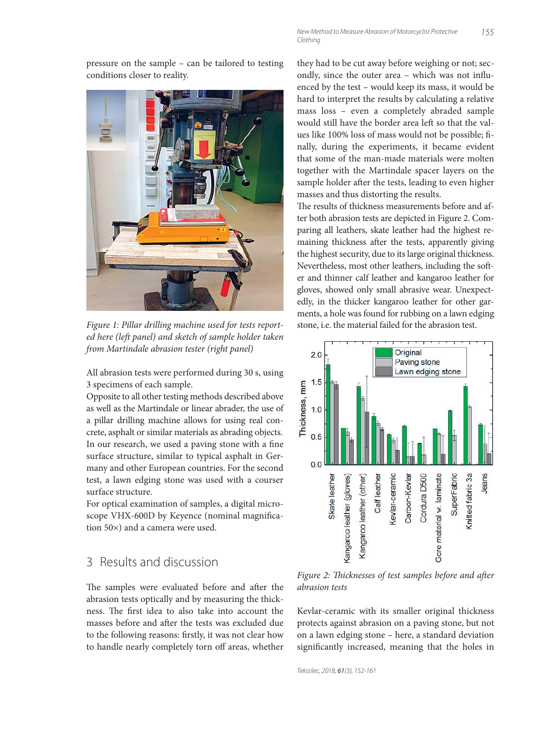pressure on the sample – can be tailored to testing conditions closer to reality.



*Figure 1: Pillar drilling machine used for tests reported here (left panel) and sketch of sample holder taken from Martindale abrasion tester (right panel)*

All abrasion tests were performed during 30 s, using 3 specimens of each sample.

Opposite to all other testing methods described above as well as the Martindale or linear abrader, the use of a pillar drilling machine allows for using real concrete, asphalt or similar materials as abrading objects. In our research, we used a paving stone with a fine surface structure, similar to typical asphalt in Germany and other European countries. For the second test, a lawn edging stone was used with a courser surface structure.

For optical examination of samples, a digital microscope VHX-600D by Keyence (nominal magnification 50×) and a camera were used.

#### 3 Results and discussion

The samples were evaluated before and after the abrasion tests optically and by measuring the thickness. The first idea to also take into account the masses before and after the tests was excluded due to the following reasons: firstly, it was not clear how to handle nearly completely torn off areas, whether

they had to be cut away before weighing or not; secondly, since the outer area - which was not influenced by the test – would keep its mass, it would be hard to interpret the results by calculating a relative mass loss – even a completely abraded sample would still have the border area left so that the values like 100% loss of mass would not be possible; finally, during the experiments, it became evident that some of the man-made materials were molten together with the Martindale spacer layers on the sample holder after the tests, leading to even higher masses and thus distorting the results.

The results of thickness measurements before and after both abrasion tests are depicted in Figure 2. Comparing all leathers, skate leather had the highest remaining thickness after the tests, apparently giving the highest security, due to its large original thickness. Nevertheless, most other leathers, including the softer and thinner calf leather and kangaroo leather for gloves, showed only small abrasive wear. Unexpectedly, in the thicker kangaroo leather for other garments, a hole was found for rubbing on a lawn edging stone, i.e. the material failed for the abrasion test.



*Figure 2: Thicknesses of test samples before and after abrasion tests*

Kevlar-ceramic with its smaller original thickness protects against abrasion on a paving stone, but not on a lawn edging stone – here, a standard deviation significantly increased, meaning that the holes in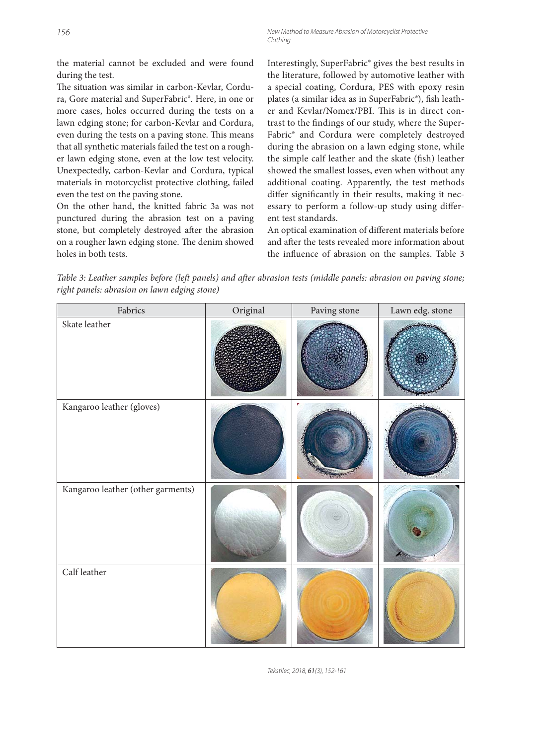156 New Method to Measure Abrasion of Motorcyclist Protective Clothing

the material cannot be excluded and were found during the test.

The situation was similar in carbon-Kevlar, Cordura, Gore material and SuperFabric®. Here, in one or more cases, holes occurred during the tests on a lawn edging stone; for carbon-Kevlar and Cordura, even during the tests on a paving stone. This means that all synthetic materials failed the test on a rougher lawn edging stone, even at the low test velocity. Unexpectedly, carbon-Kevlar and Cordura, typical materials in motorcyclist protective clothing, failed even the test on the paving stone.

On the other hand, the knitted fabric 3a was not punctured during the abrasion test on a paving stone, but completely destroyed after the abrasion on a rougher lawn edging stone. The denim showed holes in both tests.

Interestingly, SuperFabric® gives the best results in the literature, followed by automotive leather with a special coating, Cordura, PES with epoxy resin plates (a similar idea as in SuperFabric®), fish leather and Kevlar/Nomex/PBI. This is in direct contrast to the findings of our study, where the Super-Fabric® and Cordura were completely destroyed during the abrasion on a lawn edging stone, while the simple calf leather and the skate (fish) leather showed the smallest losses, even when without any additional coating. Apparently, the test methods differ significantly in their results, making it necessary to perform a follow-up study using different test standards.

An optical examination of different materials before and after the tests revealed more information about the influence of abrasion on the samples. Table 3

*Table 3: Leather samples before (left panels) and after abrasion tests (middle panels: abrasion on paving stone; right panels: abrasion on lawn edging stone)*

| Fabrics                           | Original | Paving stone | Lawn edg. stone |
|-----------------------------------|----------|--------------|-----------------|
| Skate leather                     |          |              |                 |
| Kangaroo leather (gloves)         |          |              |                 |
| Kangaroo leather (other garments) |          |              |                 |
| Calf leather                      |          |              |                 |

Tekstilec, 2018, 61(3), 152-161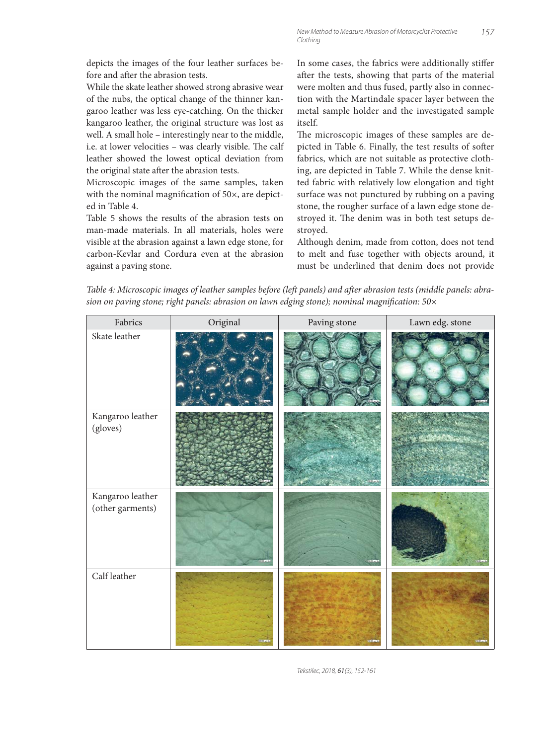depicts the images of the four leather surfaces before and after the abrasion tests.

While the skate leather showed strong abrasive wear of the nubs, the optical change of the thinner kangaroo leather was less eye-catching. On the thicker kangaroo leather, the original structure was lost as well. A small hole – interestingly near to the middle, i.e. at lower velocities - was clearly visible. The calf leather showed the lowest optical deviation from the original state after the abrasion tests.

Microscopic images of the same samples, taken with the nominal magnification of  $50\times$ , are depicted in Table 4.

Table 5 shows the results of the abrasion tests on man-made materials. In all materials, holes were visible at the abrasion against a lawn edge stone, for carbon-Kevlar and Cordura even at the abrasion against a paving stone.

In some cases, the fabrics were additionally stiffer after the tests, showing that parts of the material were molten and thus fused, partly also in connection with the Martindale spacer layer between the metal sample holder and the investigated sample itself.

The microscopic images of these samples are depicted in Table 6. Finally, the test results of softer fabrics, which are not suitable as protective clothing, are depicted in Table 7. While the dense knitted fabric with relatively low elongation and tight surface was not punctured by rubbing on a paving stone, the rougher surface of a lawn edge stone destroyed it. The denim was in both test setups destroyed.

Although denim, made from cotton, does not tend to melt and fuse together with objects around, it must be underlined that denim does not provide

Table 4: Microscopic images of leather samples before (left panels) and after abrasion tests (middle panels: abrasion on paving stone; right panels: abrasion on lawn edging stone); nominal magnification: 50×

| Fabrics                              | Original | Paving stone | Lawn edg. stone |
|--------------------------------------|----------|--------------|-----------------|
| Skate leather                        |          |              |                 |
| Kangaroo leather<br>(gloves)         |          |              |                 |
| Kangaroo leather<br>(other garments) |          |              |                 |
| Calf leather                         |          |              |                 |

Tekstilec, 2018, 61(3), 152-161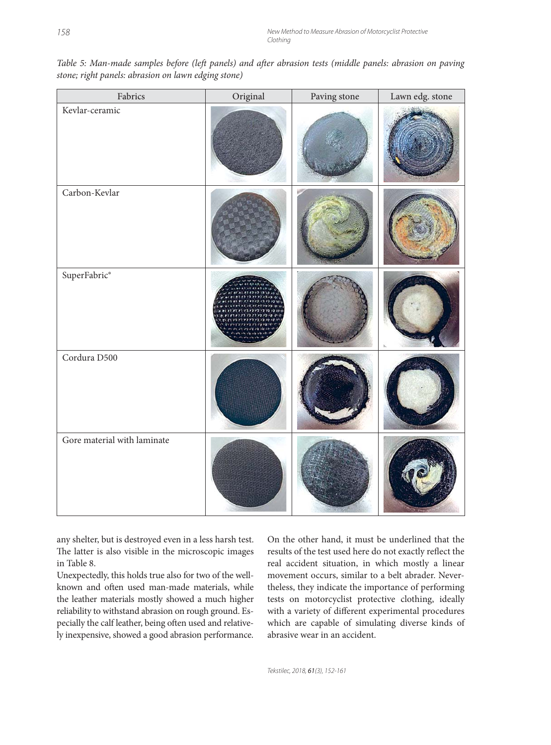| Fabrics                     | Original | Paving stone | Lawn edg. stone |
|-----------------------------|----------|--------------|-----------------|
| Kevlar-ceramic              |          |              |                 |
| Carbon-Kevlar               |          |              |                 |
| $\mbox{SuperFabric}^*$      |          |              |                 |
| Cordura D500                |          |              |                 |
| Gore material with laminate |          |              |                 |

*Table 5: Man-made samples before (left panels) and after abrasion tests (middle panels: abrasion on paving stone; right panels: abrasion on lawn edging stone)*

any shelter, but is destroyed even in a less harsh test. The latter is also visible in the microscopic images in Table 8.

Unexpectedly, this holds true also for two of the wellknown and often used man-made materials, while the leather materials mostly showed a much higher reliability to withstand abrasion on rough ground. Especially the calf leather, being often used and relatively inexpensive, showed a good abrasion performance.

On the other hand, it must be underlined that the results of the test used here do not exactly reflect the real accident situation, in which mostly a linear movement occurs, similar to a belt abrader. Nevertheless, they indicate the importance of performing tests on motorcyclist protective clothing, ideally with a variety of different experimental procedures which are capable of simulating diverse kinds of abrasive wear in an accident.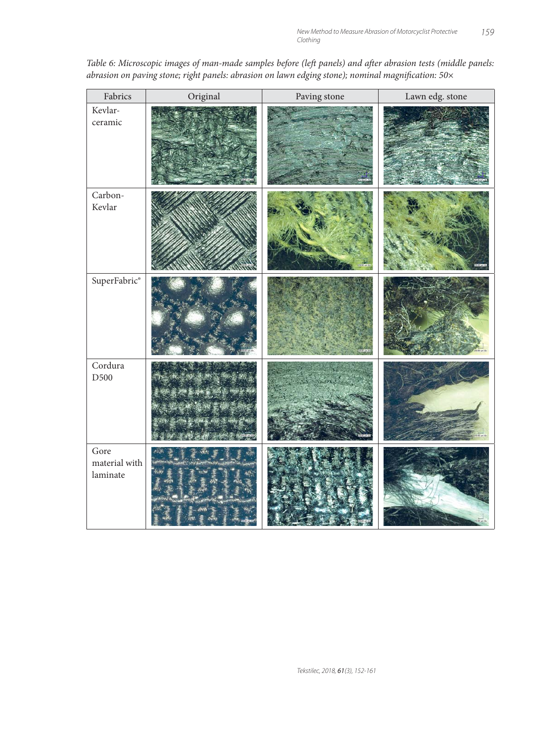| Fabrics                           | Original    | Paving stone | Lawn edg. stone |
|-----------------------------------|-------------|--------------|-----------------|
| Kevlar-<br>ceramic                |             |              |                 |
| Carbon-<br>Kevlar                 |             |              |                 |
| $\mbox{SuperFabric}^*$            |             |              |                 |
| Cordura<br>D500                   | (小林安小原 美山茶) |              |                 |
| Gore<br>material with<br>laminate |             |              |                 |

*Table 6: Microscopic images of man-made samples before (left panels) and after abrasion tests (middle panels:* abrasion on paving stone; right panels: abrasion on lawn edging stone); nominal magnification: 50×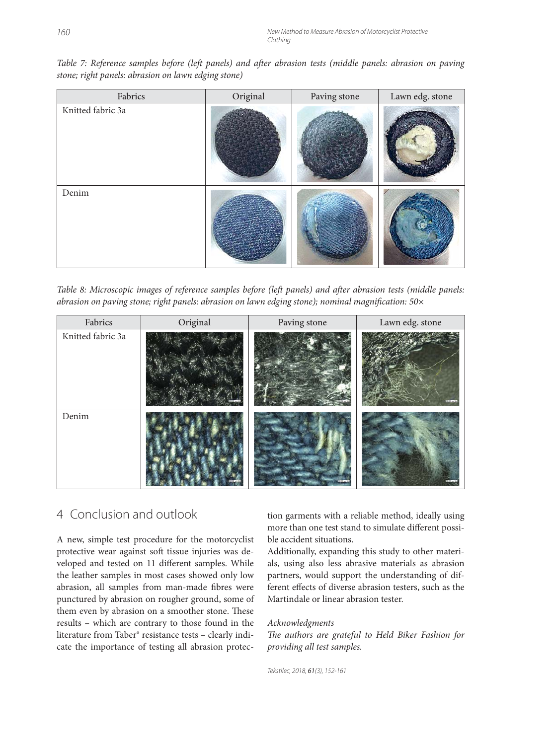*Table 7: Reference samples before (left panels) and after abrasion tests (middle panels: abrasion on paving stone; right panels: abrasion on lawn edging stone)*

| Fabrics                       | Original | Paving stone | Lawn edg. stone |
|-------------------------------|----------|--------------|-----------------|
| Knitted fabric 3a             |          |              |                 |
| $\mathop{\rm Denim}\nolimits$ |          |              |                 |

*Table 8: Microscopic images of reference samples before (left panels) and after abrasion tests (middle panels: abrasion on paving stone; right panels: abrasion on lawn edging stone); nominal magnifi cation: 50×*

| Fabrics           | Original | Paving stone | Lawn edg. stone |
|-------------------|----------|--------------|-----------------|
| Knitted fabric 3a |          |              |                 |
| Denim             |          |              |                 |

#### 4 Conclusion and outlook

A new, simple test procedure for the motorcyclist protective wear against soft tissue injuries was developed and tested on 11 different samples. While the leather samples in most cases showed only low abrasion, all samples from man-made fibres were punctured by abrasion on rougher ground, some of them even by abrasion on a smoother stone. These results – which are contrary to those found in the literature from Taber® resistance tests – clearly indicate the importance of testing all abrasion protection garments with a reliable method, ideally using more than one test stand to simulate different possible accident situations.

Additionally, expanding this study to other materials, using also less abrasive materials as abrasion partners, would support the understanding of different effects of diverse abrasion testers, such as the Martindale or linear abrasion tester.

#### *Acknowledgments*

The authors are grateful to Held Biker Fashion for *providing all test samples.*

Tekstilec, 2018, 61(3), 152-161